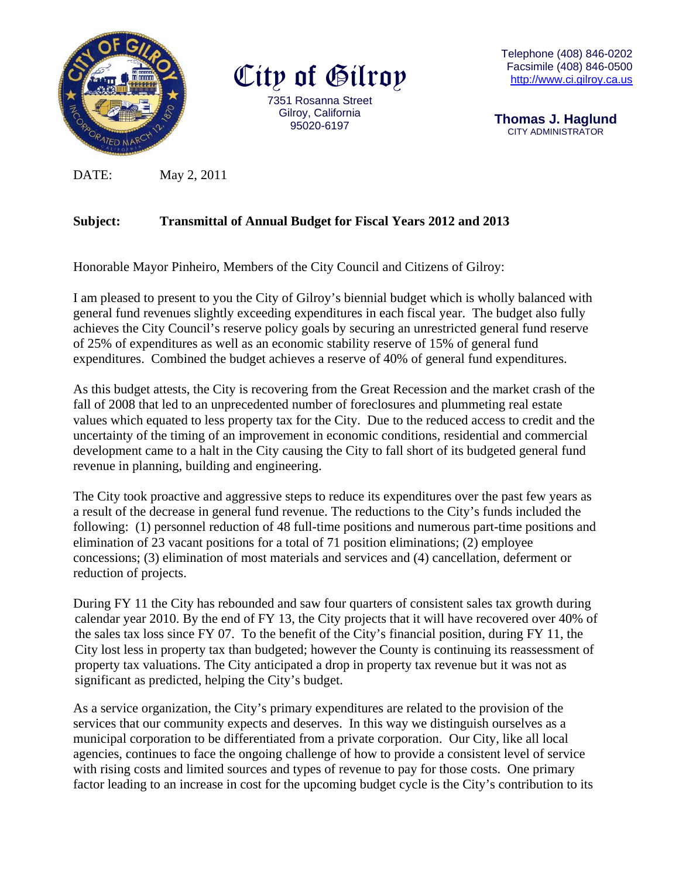

City of Gilroy 7351 Rosa anna Street Gilroy, C California 95020 0-6197

T Telephone (40 08) 846-0202 Facsimile (40 08) 846-0500 http://www.ci.gilroy.ca.us

 **Th homas J. H Haglund**  CITY ADMINISTRATOR

DATE: May 2 2, 2011

#### **Subject: Transmittal of Annual Budget for Fiscal Years 2012 and 2013**

Honorable Mayor Pinheiro, Members of the City Council and Citizens of Gilroy:

I am pleased to present to you the City of Gilroy's biennial budget which is wholly balanced with general fund revenues slightly exceeding expenditures in each fiscal year. The budget also fully achieves the City Council's reserve policy goals by securing an unrestricted general fund reserve of 25% of expenditures as well as an economic stability reserve of 15% of general fund expenditures. Combined the budget achieves a reserve of 40% of general fund expenditures.

As this budget attests, the City is recovering from the Great Recession and the market crash of the fall of 2008 that led to an unprecedented number of foreclosures and plummeting real estate values which equated to less property tax for the City. Due to the reduced access to credit and the uncertainty of the timing of an improvement in economic conditions, residential and commercial development came to a halt in the City causing the City to fall short of its budgeted general fund revenue in planning, building and engineering.

The City took proactive and aggressive steps to reduce its expenditures over the past few years as a result of the decrease in general fund revenue. The reductions to the City's funds included the following: (1) personnel reduction of 48 full-time positions and numerous part-time positions and elimination of 23 vacant positions for a total of 71 position eliminations; (2) employee concessions; (3) elimination of most materials and services and (4) cancellation, deferment or reduction of projects. concessions; (3) elimination of most materials and services and (4) cancellation, deferment or<br>reduction of projects.<br>During FY 11 the City has rebounded and saw four quarters of consistent sales tax growth during

calendar year 2010. By the end of FY 13, the City projects that it will have recovered over 40% of the sales tax loss since FY 07. To the benefit of the City's financial position, during FY 11, the City lost less in property tax than budgeted; however the County is continuing its reassessment of property tax valuations. The City anticipated a drop in property tax revenue but it was not as significant as predicted, helping the City's budget.

As a service organization, the City's primary expenditures are related to the provision of the services that our community expects and deserves. In this way we distinguish ourselves as a municipal corporation to be differentiated from a private corporation. Our City, like all local agencies, continues to face the ongoing challenge of how to provide a consistent level of service with rising costs and limited sources and types of revenue to pay for those costs. One primary with rising costs and limited sources and types of revenue to pay for those costs. One primary<br>factor leading to an increase in cost for the upcoming budget cycle is the City's contribution to its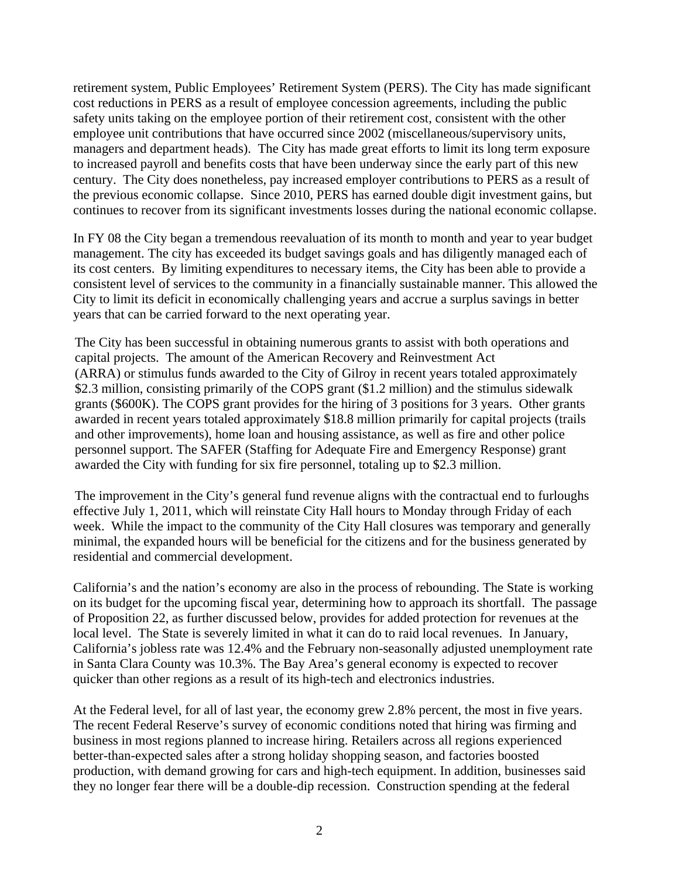retirement system, Public Employees' Retirement System (PERS). The City has made significant cost reductions in PERS as a result of employee concession agreements, including the public safety units taking on the employee portion of their retirement cost, consistent with the other employee unit contributions that have occurred since 2002 (miscellaneous/supervisory units, managers and department heads). The City has made great efforts to limit its long term exposure to increased payroll and benefits costs that have been underway since the early part of this new century. The City does nonetheless, pay increased employer contributions to PERS as a result of the previous economic collapse. Since 2010, PERS has earned double digit investment gains, but continues to recover from its significant investments losses during the national economic collapse.

In FY 08 the City began a tremendous reevaluation of its month to month and year to year budget management. The city has exceeded its budget savings goals and has diligently managed each of its cost centers. By limiting expenditures to necessary items, the City has been able to provide a consistent level of services to the community in a financially sustainable manner. This allowed the City to limit its deficit in economically challenging years and accrue a surplus savings in better years that can be carried forward to the next operating year.

The City has been successful in obtaining numerous grants to assist with both operations and capital projects. The amount of the American Recovery and Reinvestment Act (ARRA) or stimulus funds awarded to the City of Gilroy in recent years totaled approximately \$2.3 million, consisting primarily of the COPS grant (\$1.2 million) and the stimulus sidewalk grants (\$600K). The COPS grant provides for the hiring of 3 positions for 3 years. Other grants awarded in recent years totaled approximately \$18.8 million primarily for capital projects (trails and other improvements), home loan and housing assistance, as well as fire and other police personnel support. The SAFER (Staffing for Adequate Fire and Emergency Response) grant awarded the City with funding for six fire personnel, totaling up to \$2.3 million.

The improvement in the City's general fund revenue aligns with the contractual end to furloughs effective July 1, 2011, which will reinstate City Hall hours to Monday through Friday of each week. While the impact to the community of the City Hall closures was temporary and generally minimal, the expanded hours will be beneficial for the citizens and for the business generated by residential and commercial development.

California's and the nation's economy are also in the process of rebounding. The State is working on its budget for the upcoming fiscal year, determining how to approach its shortfall. The passage of Proposition 22, as further discussed below, provides for added protection for revenues at the local level. The State is severely limited in what it can do to raid local revenues. In January, California's jobless rate was 12.4% and the February non-seasonally adjusted unemployment rate in Santa Clara County was 10.3%. The Bay Area's general economy is expected to recover quicker than other regions as a result of its high-tech and electronics industries.

At the Federal level, for all of last year, the economy grew 2.8% percent, the most in five years. The recent Federal Reserve's survey of economic conditions noted that hiring was firming and business in most regions planned to increase hiring. Retailers across all regions experienced better-than-expected sales after a strong holiday shopping season, and factories boosted production, with demand growing for cars and high-tech equipment. In addition, businesses said they no longer fear there will be a double-dip recession. Construction spending at the federal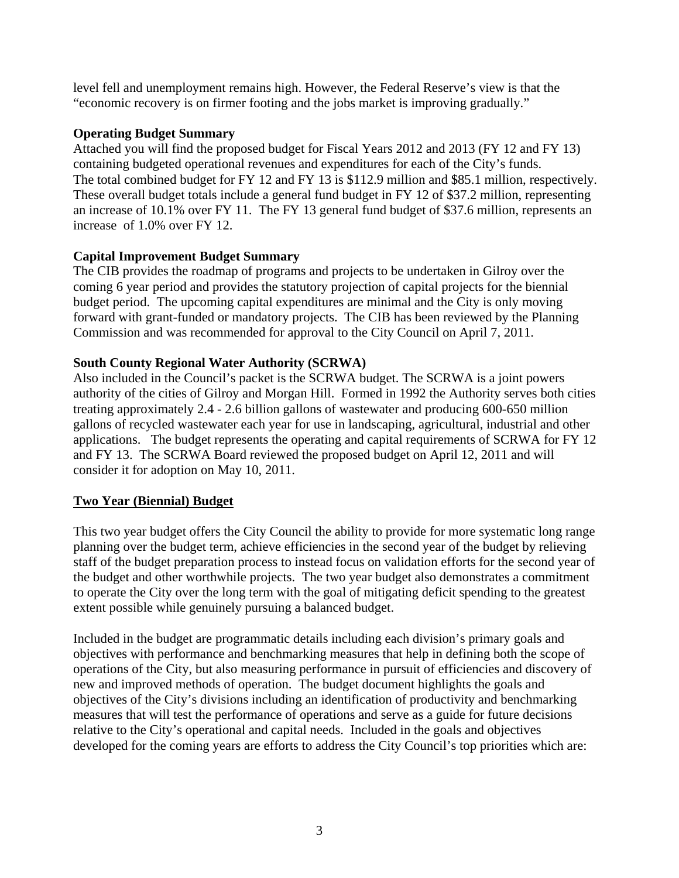level fell and unemployment remains high. However, the Federal Reserve's view is that the "economic recovery is on firmer footing and the jobs market is improving gradually."

### **Operating Budget Summary**

Attached you will find the proposed budget for Fiscal Years 2012 and 2013 (FY 12 and FY 13) containing budgeted operational revenues and expenditures for each of the City's funds. The total combined budget for FY 12 and FY 13 is \$112.9 million and \$85.1 million, respectively. These overall budget totals include a general fund budget in FY 12 of \$37.2 million, representing an increase of 10.1% over FY 11. The FY 13 general fund budget of \$37.6 million, represents an increase of 1.0% over FY 12.

# **Capital Improvement Budget Summary**

The CIB provides the roadmap of programs and projects to be undertaken in Gilroy over the coming 6 year period and provides the statutory projection of capital projects for the biennial budget period. The upcoming capital expenditures are minimal and the City is only moving forward with grant-funded or mandatory projects. The CIB has been reviewed by the Planning Commission and was recommended for approval to the City Council on April 7, 2011.

# **South County Regional Water Authority (SCRWA)**

Also included in the Council's packet is the SCRWA budget. The SCRWA is a joint powers authority of the cities of Gilroy and Morgan Hill. Formed in 1992 the Authority serves both cities treating approximately 2.4 - 2.6 billion gallons of wastewater and producing 600-650 million gallons of recycled wastewater each year for use in landscaping, agricultural, industrial and other applications. The budget represents the operating and capital requirements of SCRWA for FY 12 and FY 13. The SCRWA Board reviewed the proposed budget on April 12, 2011 and will consider it for adoption on May 10, 2011.

### **Two Year (Biennial) Budget**

This two year budget offers the City Council the ability to provide for more systematic long range planning over the budget term, achieve efficiencies in the second year of the budget by relieving staff of the budget preparation process to instead focus on validation efforts for the second year of the budget and other worthwhile projects. The two year budget also demonstrates a commitment to operate the City over the long term with the goal of mitigating deficit spending to the greatest extent possible while genuinely pursuing a balanced budget.

Included in the budget are programmatic details including each division's primary goals and objectives with performance and benchmarking measures that help in defining both the scope of operations of the City, but also measuring performance in pursuit of efficiencies and discovery of new and improved methods of operation. The budget document highlights the goals and objectives of the City's divisions including an identification of productivity and benchmarking measures that will test the performance of operations and serve as a guide for future decisions relative to the City's operational and capital needs. Included in the goals and objectives developed for the coming years are efforts to address the City Council's top priorities which are: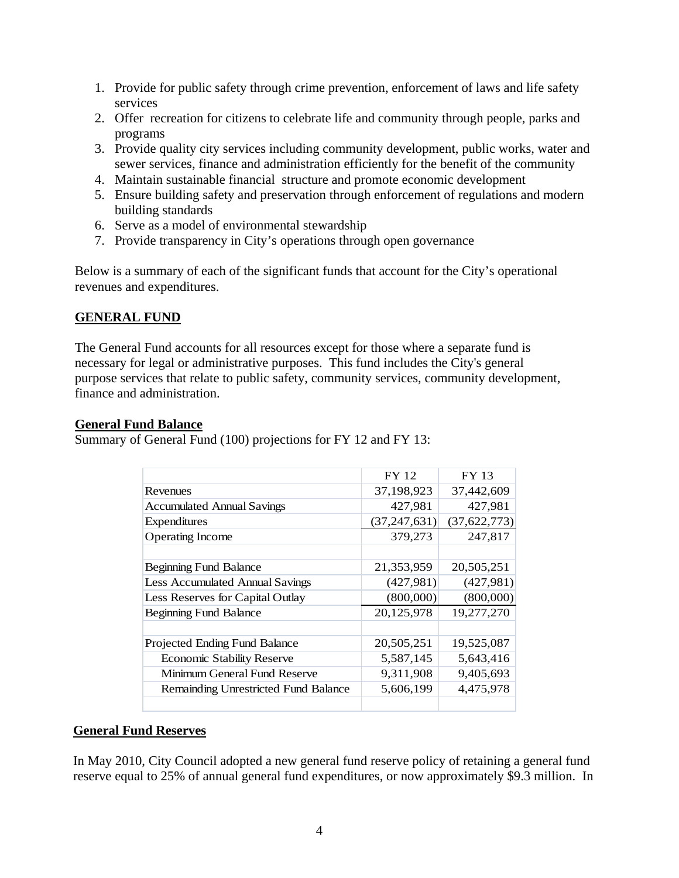- 1. Provide for public safety through crime prevention, enforcement of laws and life safety services
- 2. Offer recreation for citizens to celebrate life and community through people, parks and programs
- 3. Provide quality city services including community development, public works, water and sewer services, finance and administration efficiently for the benefit of the community
- 4. Maintain sustainable financial structure and promote economic development
- 5. Ensure building safety and preservation through enforcement of regulations and modern building standards
- 6. Serve as a model of environmental stewardship
- 7. Provide transparency in City's operations through open governance

Below is a summary of each of the significant funds that account for the City's operational revenues and expenditures.

### **GENERAL FUND**

The General Fund accounts for all resources except for those where a separate fund is necessary for legal or administrative purposes. This fund includes the City's general purpose services that relate to public safety, community services, community development, finance and administration.

### **General Fund Balance**

Summary of General Fund (100) projections for FY 12 and FY 13:

|                                      | <b>FY 12</b>   | <b>FY 13</b> |
|--------------------------------------|----------------|--------------|
| Revenues                             | 37,198,923     | 37,442,609   |
| <b>Accumulated Annual Savings</b>    | 427,981        | 427,981      |
| <b>Expenditures</b>                  | (37, 247, 631) | (37,622,773) |
| <b>Operating Income</b>              | 379,273        | 247,817      |
|                                      |                |              |
| <b>Beginning Fund Balance</b>        | 21,353,959     | 20,505,251   |
| Less Accumulated Annual Savings      | (427,981)      | (427,981)    |
| Less Reserves for Capital Outlay     | (800,000)      | (800,000)    |
| <b>Beginning Fund Balance</b>        | 20,125,978     | 19,277,270   |
|                                      |                |              |
| Projected Ending Fund Balance        | 20,505,251     | 19,525,087   |
| <b>Economic Stability Reserve</b>    | 5,587,145      | 5,643,416    |
| Minimum General Fund Reserve         | 9,311,908      | 9,405,693    |
| Remainding Unrestricted Fund Balance | 5,606,199      | 4,475,978    |
|                                      |                |              |

### **General Fund Reserves**

In May 2010, City Council adopted a new general fund reserve policy of retaining a general fund reserve equal to 25% of annual general fund expenditures, or now approximately \$9.3 million. In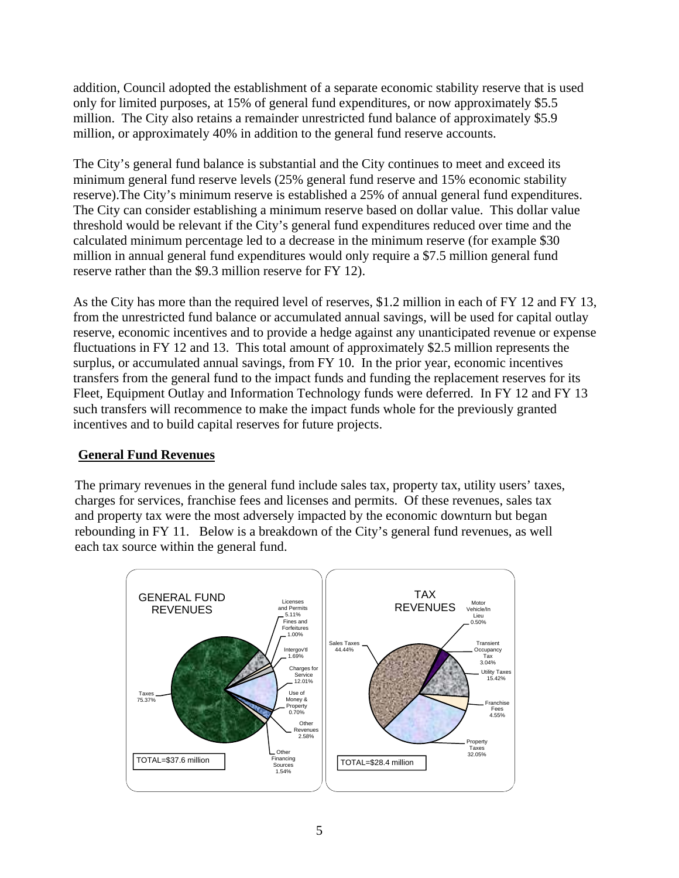addition, Council adopted the establishment of a separate economic stability reserve that is used only for limited purposes, at 15% of general fund expenditures, or now approximately \$5.5 million. The City also retains a remainder unrestricted fund balance of approximately \$5.9 million, or approximately 40% in addition to the general fund reserve accounts.

The City's general fund balance is substantial and the City continues to meet and exceed its minimum general fund reserve levels (25% general fund reserve and 15% economic stability reserve).The City's minimum reserve is established a 25% of annual general fund expenditures. The City can consider establishing a minimum reserve based on dollar value. This dollar value threshold would be relevant if the City's general fund expenditures reduced over time and the calculated minimum percentage led to a decrease in the minimum reserve (for example \$30 million in annual general fund expenditures would only require a \$7.5 million general fund reserve rather than the \$9.3 million reserve for FY 12).

As the City has more than the required level of reserves, \$1.2 million in each of FY 12 and FY 13, from the unrestricted fund balance or accumulated annual savings, will be used for capital outlay reserve, economic incentives and to provide a hedge against any unanticipated revenue or expense fluctuations in FY 12 and 13. This total amount of approximately \$2.5 million represents the surplus, or accumulated annual savings, from FY 10. In the prior year, economic incentives transfers from the general fund to the impact funds and funding the replacement reserves for its Fleet, Equipment Outlay and Information Technology funds were deferred. In FY 12 and FY 13 such transfers will recommence to make the impact funds whole for the previously granted incentives and to build capital reserves for future projects.

# **General Fund Revenues**

The primary revenues in the general fund include sales tax, property tax, utility users' taxes, charges for services, franchise fees and licenses and permits. Of these revenues, sales tax and property tax were the most adversely impacted by the economic downturn but began rebounding in FY 11. Below is a breakdown of the City's general fund revenues, as well each tax source within the general fund.

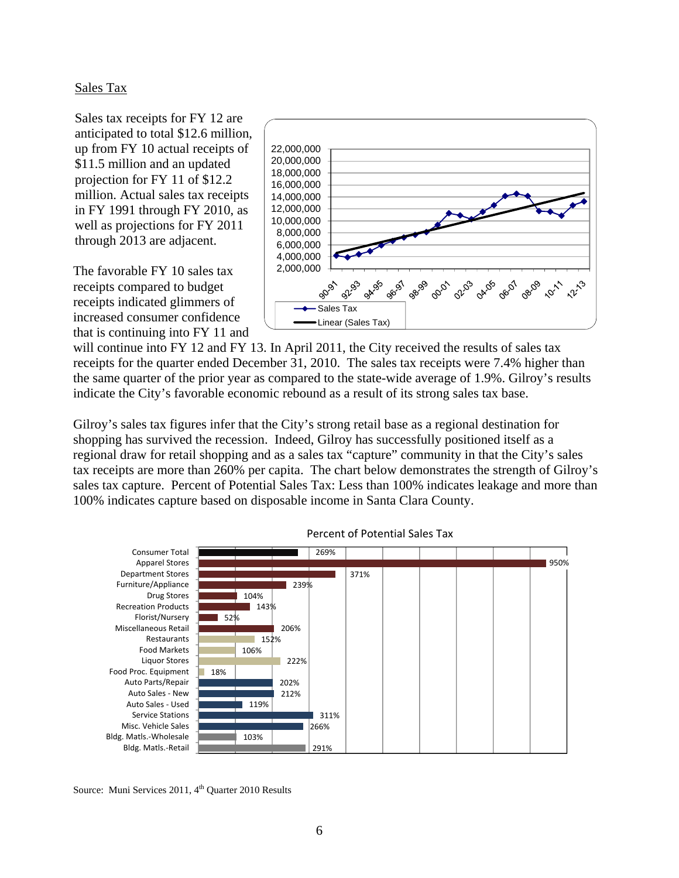### Sales Tax

Sales tax receipts for FY 12 are anticipated to total \$12.6 million, up from FY 10 actual receipts of \$11.5 million and an updated projection for FY 11 of \$12.2 million. Actual sales tax receipts in FY 1991 through FY 2010, as well as projections for FY 2011 through 2013 are adjacent.

The favorable FY 10 sales tax receipts compared to budget receipts indicated glimmers of increased consumer confidence that is continuing into FY 11 and



will continue into FY 12 and FY 13. In April 2011, the City received the results of sales tax receipts for the quarter ended December 31, 2010. The sales tax receipts were 7.4% higher than the same quarter of the prior year as compared to the state-wide average of 1.9%. Gilroy's results indicate the City's favorable economic rebound as a result of its strong sales tax base.

Gilroy's sales tax figures infer that the City's strong retail base as a regional destination for shopping has survived the recession. Indeed, Gilroy has successfully positioned itself as a regional draw for retail shopping and as a sales tax "capture" community in that the City's sales tax receipts are more than 260% per capita. The chart below demonstrates the strength of Gilroy's sales tax capture. Percent of Potential Sales Tax: Less than 100% indicates leakage and more than 100% indicates capture based on disposable income in Santa Clara County.



Percent of Potential Sales Tax

Source: Muni Services 2011, 4<sup>th</sup> Quarter 2010 Results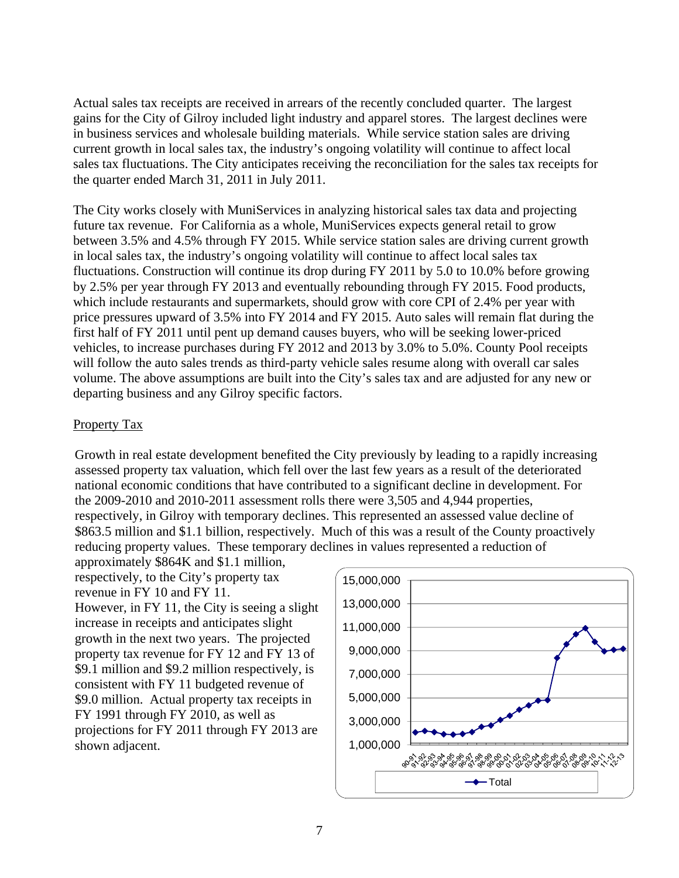Actual sales tax receipts are received in arrears of the recently concluded quarter. The largest gains for the City of Gilroy included light industry and apparel stores. The largest declines were in business services and wholesale building materials. While service station sales are driving current growth in local sales tax, the industry's ongoing volatility will continue to affect local sales tax fluctuations. The City anticipates receiving the reconciliation for the sales tax receipts for the quarter ended March 31, 2011 in July 2011.

The City works closely with MuniServices in analyzing historical sales tax data and projecting future tax revenue. For California as a whole, MuniServices expects general retail to grow between 3.5% and 4.5% through FY 2015. While service station sales are driving current growth in local sales tax, the industry's ongoing volatility will continue to affect local sales tax fluctuations. Construction will continue its drop during FY 2011 by 5.0 to 10.0% before growing by 2.5% per year through FY 2013 and eventually rebounding through FY 2015. Food products, which include restaurants and supermarkets, should grow with core CPI of 2.4% per year with price pressures upward of 3.5% into FY 2014 and FY 2015. Auto sales will remain flat during the first half of FY 2011 until pent up demand causes buyers, who will be seeking lower-priced vehicles, to increase purchases during FY 2012 and 2013 by 3.0% to 5.0%. County Pool receipts will follow the auto sales trends as third-party vehicle sales resume along with overall car sales volume. The above assumptions are built into the City's sales tax and are adjusted for any new or departing business and any Gilroy specific factors.

### Property Tax

Growth in real estate development benefited the City previously by leading to a rapidly increasing assessed property tax valuation, which fell over the last few years as a result of the deteriorated national economic conditions that have contributed to a significant decline in development. For the 2009-2010 and 2010-2011 assessment rolls there were 3,505 and 4,944 properties, respectively, in Gilroy with temporary declines. This represented an assessed value decline of \$863.5 million and \$1.1 billion, respectively. Much of this was a result of the County proactively reducing property values. These temporary declines in values represented a reduction of

approximately \$864K and \$1.1 million, respectively, to the City's property tax revenue in FY 10 and FY 11. However, in FY 11, the City is seeing a slight increase in receipts and anticipates slight growth in the next two years. The projected property tax revenue for FY 12 and FY 13 of \$9.1 million and \$9.2 million respectively, is consistent with FY 11 budgeted revenue of \$9.0 million. Actual property tax receipts in FY 1991 through FY 2010, as well as projections for FY 2011 through FY 2013 are shown adjacent. 1,000,000

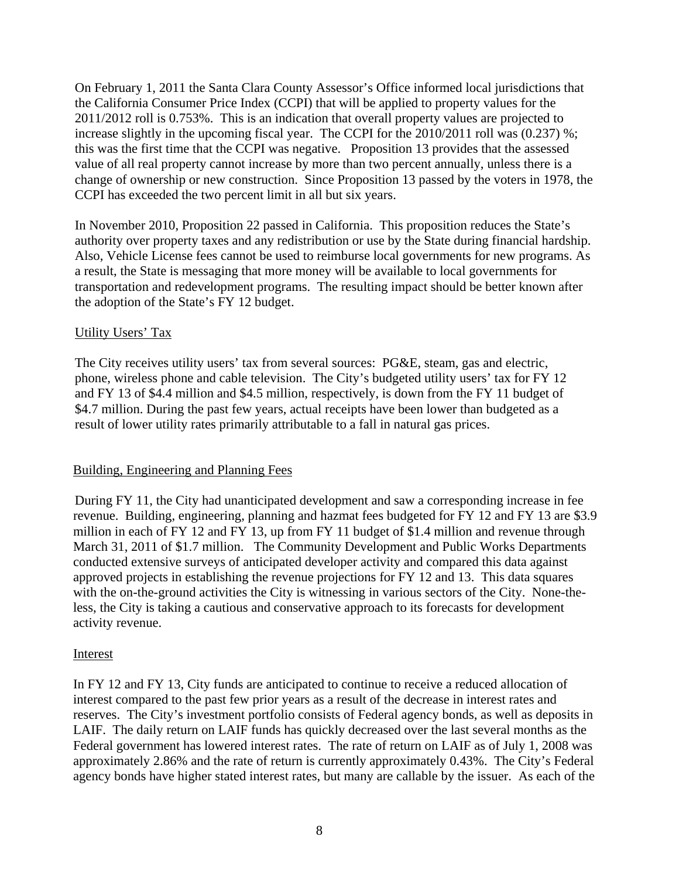On February 1, 2011 the Santa Clara County Assessor's Office informed local jurisdictions that the California Consumer Price Index (CCPI) that will be applied to property values for the 2011/2012 roll is 0.753%. This is an indication that overall property values are projected to increase slightly in the upcoming fiscal year. The CCPI for the 2010/2011 roll was (0.237) %; this was the first time that the CCPI was negative. Proposition 13 provides that the assessed value of all real property cannot increase by more than two percent annually, unless there is a change of ownership or new construction. Since Proposition 13 passed by the voters in 1978, the CCPI has exceeded the two percent limit in all but six years.

In November 2010, Proposition 22 passed in California. This proposition reduces the State's authority over property taxes and any redistribution or use by the State during financial hardship. Also, Vehicle License fees cannot be used to reimburse local governments for new programs. As a result, the State is messaging that more money will be available to local governments for transportation and redevelopment programs. The resulting impact should be better known after the adoption of the State's FY 12 budget.

### Utility Users' Tax

The City receives utility users' tax from several sources: PG&E, steam, gas and electric, phone, wireless phone and cable television. The City's budgeted utility users' tax for FY 12 and FY 13 of \$4.4 million and \$4.5 million, respectively, is down from the FY 11 budget of \$4.7 million. During the past few years, actual receipts have been lower than budgeted as a result of lower utility rates primarily attributable to a fall in natural gas prices.

### Building, Engineering and Planning Fees

During FY 11, the City had unanticipated development and saw a corresponding increase in fee revenue. Building, engineering, planning and hazmat fees budgeted for FY 12 and FY 13 are \$3.9 million in each of FY 12 and FY 13, up from FY 11 budget of \$1.4 million and revenue through March 31, 2011 of \$1.7 million. The Community Development and Public Works Departments conducted extensive surveys of anticipated developer activity and compared this data against approved projects in establishing the revenue projections for FY 12 and 13. This data squares with the on-the-ground activities the City is witnessing in various sectors of the City. None-theless, the City is taking a cautious and conservative approach to its forecasts for development activity revenue.

### Interest

In FY 12 and FY 13, City funds are anticipated to continue to receive a reduced allocation of interest compared to the past few prior years as a result of the decrease in interest rates and reserves. The City's investment portfolio consists of Federal agency bonds, as well as deposits in LAIF. The daily return on LAIF funds has quickly decreased over the last several months as the Federal government has lowered interest rates. The rate of return on LAIF as of July 1, 2008 was approximately 2.86% and the rate of return is currently approximately 0.43%. The City's Federal agency bonds have higher stated interest rates, but many are callable by the issuer. As each of the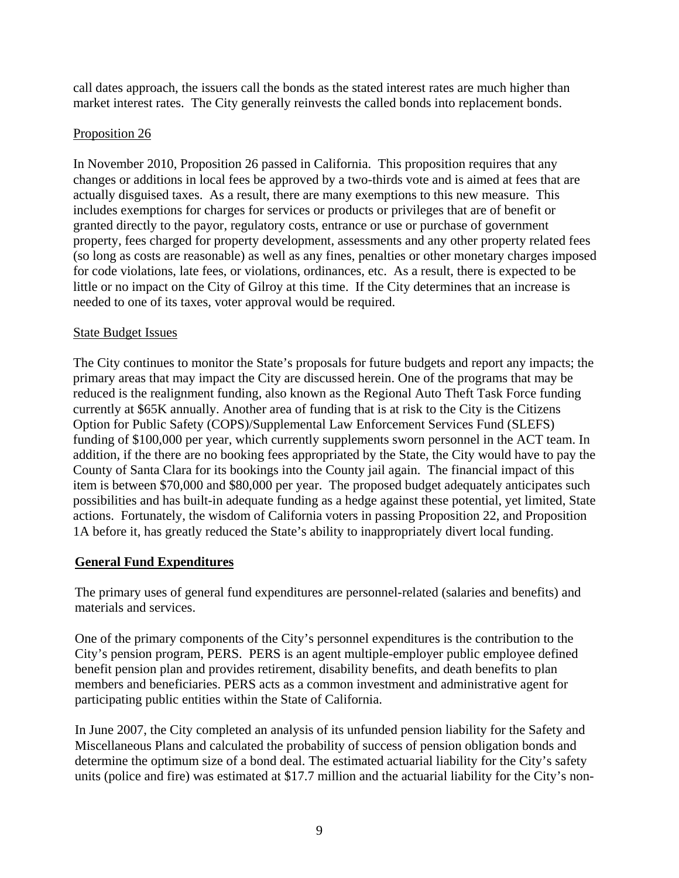call dates approach, the issuers call the bonds as the stated interest rates are much higher than market interest rates. The City generally reinvests the called bonds into replacement bonds.

### Proposition 26

In November 2010, Proposition 26 passed in California. This proposition requires that any changes or additions in local fees be approved by a two-thirds vote and is aimed at fees that are actually disguised taxes. As a result, there are many exemptions to this new measure. This includes exemptions for charges for services or products or privileges that are of benefit or granted directly to the payor, regulatory costs, entrance or use or purchase of government property, fees charged for property development, assessments and any other property related fees (so long as costs are reasonable) as well as any fines, penalties or other monetary charges imposed for code violations, late fees, or violations, ordinances, etc. As a result, there is expected to be little or no impact on the City of Gilroy at this time. If the City determines that an increase is needed to one of its taxes, voter approval would be required.

# State Budget Issues

The City continues to monitor the State's proposals for future budgets and report any impacts; the primary areas that may impact the City are discussed herein. One of the programs that may be reduced is the realignment funding, also known as the Regional Auto Theft Task Force funding currently at \$65K annually. Another area of funding that is at risk to the City is the Citizens Option for Public Safety (COPS)/Supplemental Law Enforcement Services Fund (SLEFS) funding of \$100,000 per year, which currently supplements sworn personnel in the ACT team. In addition, if the there are no booking fees appropriated by the State, the City would have to pay the County of Santa Clara for its bookings into the County jail again. The financial impact of this item is between \$70,000 and \$80,000 per year. The proposed budget adequately anticipates such possibilities and has built-in adequate funding as a hedge against these potential, yet limited, State actions. Fortunately, the wisdom of California voters in passing Proposition 22, and Proposition 1A before it, has greatly reduced the State's ability to inappropriately divert local funding.

# **General Fund Expenditures**

The primary uses of general fund expenditures are personnel-related (salaries and benefits) and materials and services.

One of the primary components of the City's personnel expenditures is the contribution to the City's pension program, PERS. PERS is an agent multiple-employer public employee defined benefit pension plan and provides retirement, disability benefits, and death benefits to plan members and beneficiaries. PERS acts as a common investment and administrative agent for participating public entities within the State of California.

In June 2007, the City completed an analysis of its unfunded pension liability for the Safety and Miscellaneous Plans and calculated the probability of success of pension obligation bonds and determine the optimum size of a bond deal. The estimated actuarial liability for the City's safety units (police and fire) was estimated at \$17.7 million and the actuarial liability for the City's non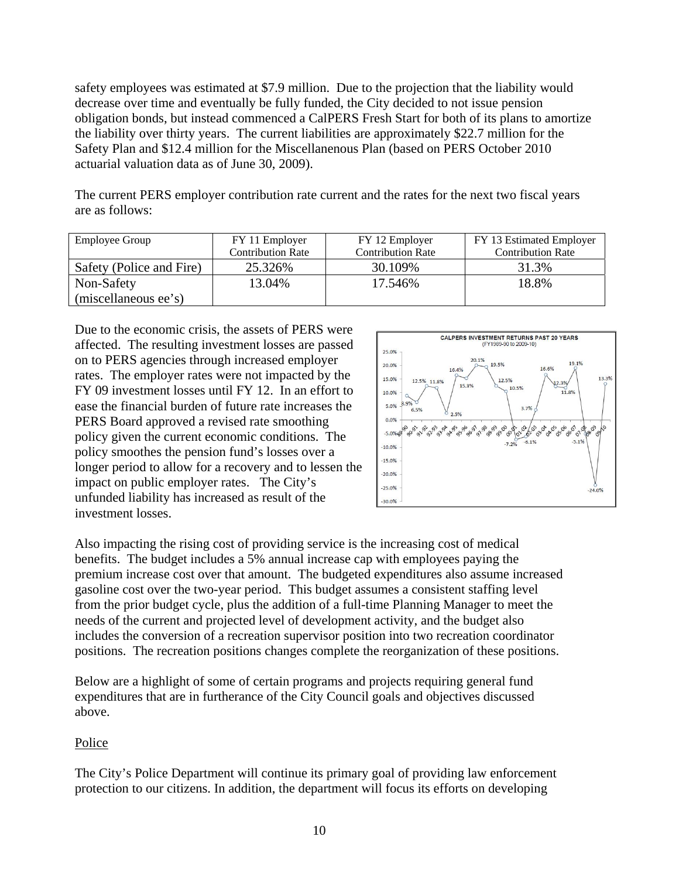safety employees was estimated at \$7.9 million. Due to the projection that the liability would decrease over time and eventually be fully funded, the City decided to not issue pension obligation bonds, but instead commenced a CalPERS Fresh Start for both of its plans to amortize the liability over thirty years. The current liabilities are approximately \$22.7 million for the Safety Plan and \$12.4 million for the Miscellanenous Plan (based on PERS October 2010 actuarial valuation data as of June 30, 2009).

The current PERS employer contribution rate current and the rates for the next two fiscal years are as follows:

| <b>Employee Group</b>    | FY 11 Employer           | FY 12 Employer           | FY 13 Estimated Employer |
|--------------------------|--------------------------|--------------------------|--------------------------|
|                          | <b>Contribution Rate</b> | <b>Contribution Rate</b> | <b>Contribution Rate</b> |
| Safety (Police and Fire) | 25.326%                  | 30.109%                  | 31.3%                    |
| Non-Safety               | 13.04%                   | 17.546%                  | 18.8%                    |
| (miscellaneous ee's)     |                          |                          |                          |

Due to the economic crisis, the assets of PERS were affected. The resulting investment losses are passed on to PERS agencies through increased employer rates. The employer rates were not impacted by the FY 09 investment losses until FY 12. In an effort to ease the financial burden of future rate increases the PERS Board approved a revised rate smoothing policy given the current economic conditions. The policy smoothes the pension fund's losses over a longer period to allow for a recovery and to lessen the impact on public employer rates. The City's unfunded liability has increased as result of the investment losses.



Also impacting the rising cost of providing service is the increasing cost of medical benefits. The budget includes a 5% annual increase cap with employees paying the premium increase cost over that amount. The budgeted expenditures also assume increased gasoline cost over the two-year period. This budget assumes a consistent staffing level from the prior budget cycle, plus the addition of a full-time Planning Manager to meet the needs of the current and projected level of development activity, and the budget also includes the conversion of a recreation supervisor position into two recreation coordinator positions. The recreation positions changes complete the reorganization of these positions.

Below are a highlight of some of certain programs and projects requiring general fund expenditures that are in furtherance of the City Council goals and objectives discussed above.

### Police

The City's Police Department will continue its primary goal of providing law enforcement protection to our citizens. In addition, the department will focus its efforts on developing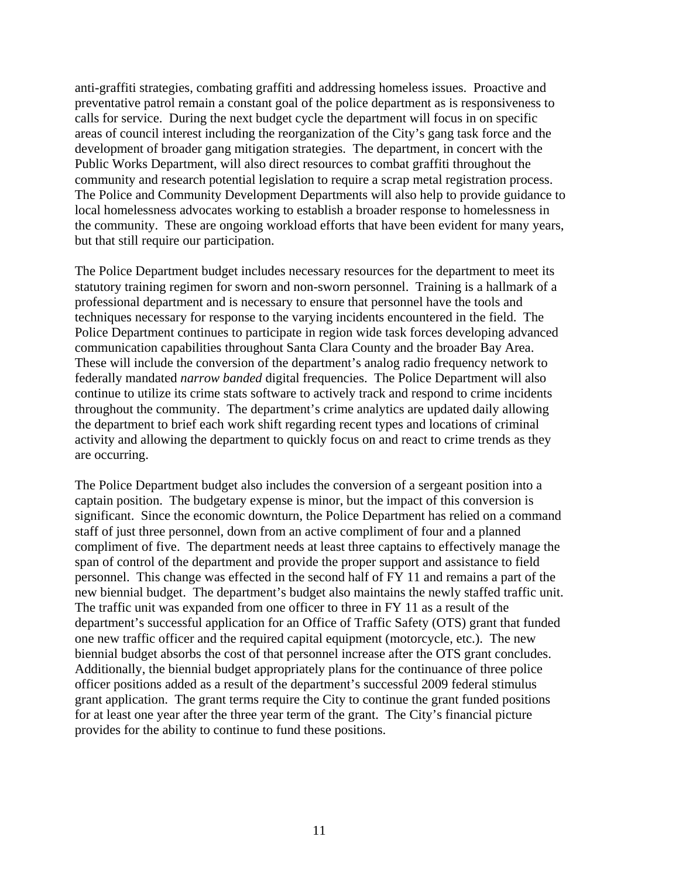anti-graffiti strategies, combating graffiti and addressing homeless issues. Proactive and preventative patrol remain a constant goal of the police department as is responsiveness to calls for service. During the next budget cycle the department will focus in on specific areas of council interest including the reorganization of the City's gang task force and the development of broader gang mitigation strategies. The department, in concert with the Public Works Department, will also direct resources to combat graffiti throughout the community and research potential legislation to require a scrap metal registration process. The Police and Community Development Departments will also help to provide guidance to local homelessness advocates working to establish a broader response to homelessness in the community. These are ongoing workload efforts that have been evident for many years, but that still require our participation.

The Police Department budget includes necessary resources for the department to meet its statutory training regimen for sworn and non-sworn personnel. Training is a hallmark of a professional department and is necessary to ensure that personnel have the tools and techniques necessary for response to the varying incidents encountered in the field. The Police Department continues to participate in region wide task forces developing advanced communication capabilities throughout Santa Clara County and the broader Bay Area. These will include the conversion of the department's analog radio frequency network to federally mandated *narrow banded* digital frequencies. The Police Department will also continue to utilize its crime stats software to actively track and respond to crime incidents throughout the community. The department's crime analytics are updated daily allowing the department to brief each work shift regarding recent types and locations of criminal activity and allowing the department to quickly focus on and react to crime trends as they are occurring.

The Police Department budget also includes the conversion of a sergeant position into a captain position. The budgetary expense is minor, but the impact of this conversion is significant. Since the economic downturn, the Police Department has relied on a command staff of just three personnel, down from an active compliment of four and a planned compliment of five. The department needs at least three captains to effectively manage the span of control of the department and provide the proper support and assistance to field personnel. This change was effected in the second half of FY 11 and remains a part of the new biennial budget. The department's budget also maintains the newly staffed traffic unit. The traffic unit was expanded from one officer to three in FY 11 as a result of the department's successful application for an Office of Traffic Safety (OTS) grant that funded one new traffic officer and the required capital equipment (motorcycle, etc.). The new biennial budget absorbs the cost of that personnel increase after the OTS grant concludes. Additionally, the biennial budget appropriately plans for the continuance of three police officer positions added as a result of the department's successful 2009 federal stimulus grant application. The grant terms require the City to continue the grant funded positions for at least one year after the three year term of the grant. The City's financial picture provides for the ability to continue to fund these positions.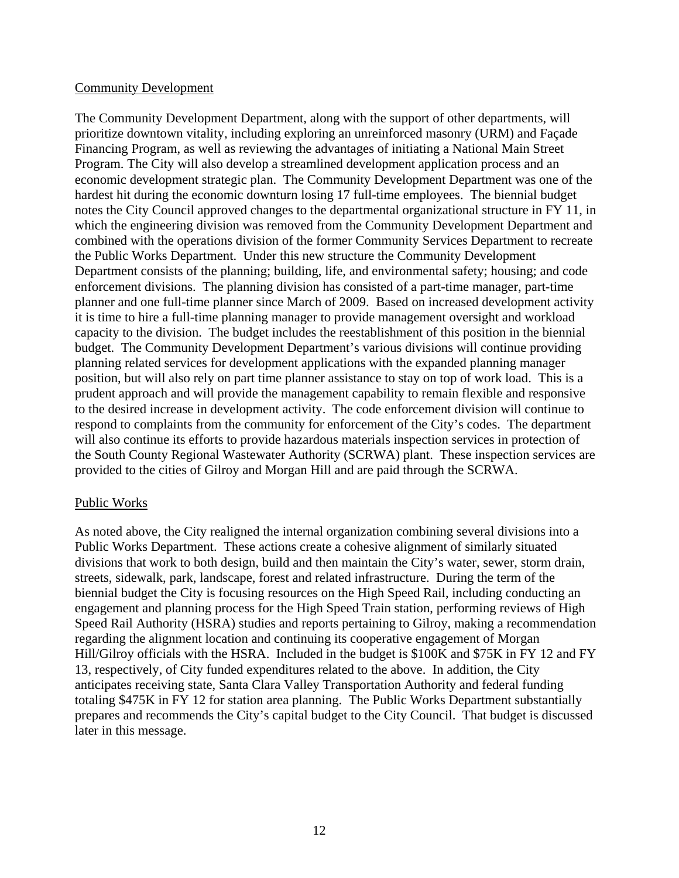### Community Development

The Community Development Department, along with the support of other departments, will prioritize downtown vitality, including exploring an unreinforced masonry (URM) and Façade Financing Program, as well as reviewing the advantages of initiating a National Main Street Program. The City will also develop a streamlined development application process and an economic development strategic plan. The Community Development Department was one of the hardest hit during the economic downturn losing 17 full-time employees. The biennial budget notes the City Council approved changes to the departmental organizational structure in FY 11, in which the engineering division was removed from the Community Development Department and combined with the operations division of the former Community Services Department to recreate the Public Works Department. Under this new structure the Community Development Department consists of the planning; building, life, and environmental safety; housing; and code enforcement divisions. The planning division has consisted of a part-time manager, part-time planner and one full-time planner since March of 2009. Based on increased development activity it is time to hire a full-time planning manager to provide management oversight and workload capacity to the division. The budget includes the reestablishment of this position in the biennial budget. The Community Development Department's various divisions will continue providing planning related services for development applications with the expanded planning manager position, but will also rely on part time planner assistance to stay on top of work load. This is a prudent approach and will provide the management capability to remain flexible and responsive to the desired increase in development activity. The code enforcement division will continue to respond to complaints from the community for enforcement of the City's codes. The department will also continue its efforts to provide hazardous materials inspection services in protection of the South County Regional Wastewater Authority (SCRWA) plant. These inspection services are provided to the cities of Gilroy and Morgan Hill and are paid through the SCRWA.

### Public Works

As noted above, the City realigned the internal organization combining several divisions into a Public Works Department. These actions create a cohesive alignment of similarly situated divisions that work to both design, build and then maintain the City's water, sewer, storm drain, streets, sidewalk, park, landscape, forest and related infrastructure. During the term of the biennial budget the City is focusing resources on the High Speed Rail, including conducting an engagement and planning process for the High Speed Train station, performing reviews of High Speed Rail Authority (HSRA) studies and reports pertaining to Gilroy, making a recommendation regarding the alignment location and continuing its cooperative engagement of Morgan Hill/Gilroy officials with the HSRA. Included in the budget is \$100K and \$75K in FY 12 and FY 13, respectively, of City funded expenditures related to the above. In addition, the City anticipates receiving state, Santa Clara Valley Transportation Authority and federal funding totaling \$475K in FY 12 for station area planning. The Public Works Department substantially prepares and recommends the City's capital budget to the City Council. That budget is discussed later in this message.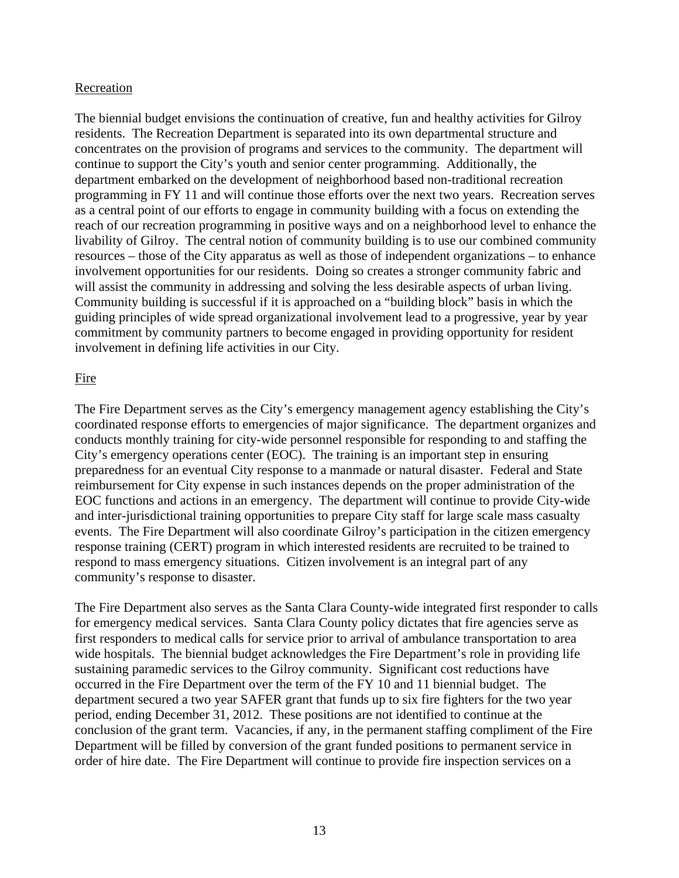### Recreation

The biennial budget envisions the continuation of creative, fun and healthy activities for Gilroy residents. The Recreation Department is separated into its own departmental structure and concentrates on the provision of programs and services to the community. The department will continue to support the City's youth and senior center programming. Additionally, the department embarked on the development of neighborhood based non-traditional recreation programming in FY 11 and will continue those efforts over the next two years. Recreation serves as a central point of our efforts to engage in community building with a focus on extending the reach of our recreation programming in positive ways and on a neighborhood level to enhance the livability of Gilroy. The central notion of community building is to use our combined community resources – those of the City apparatus as well as those of independent organizations – to enhance involvement opportunities for our residents. Doing so creates a stronger community fabric and will assist the community in addressing and solving the less desirable aspects of urban living. Community building is successful if it is approached on a "building block" basis in which the guiding principles of wide spread organizational involvement lead to a progressive, year by year commitment by community partners to become engaged in providing opportunity for resident involvement in defining life activities in our City.

### Fire

The Fire Department serves as the City's emergency management agency establishing the City's coordinated response efforts to emergencies of major significance. The department organizes and conducts monthly training for city-wide personnel responsible for responding to and staffing the City's emergency operations center (EOC). The training is an important step in ensuring preparedness for an eventual City response to a manmade or natural disaster. Federal and State reimbursement for City expense in such instances depends on the proper administration of the EOC functions and actions in an emergency. The department will continue to provide City-wide and inter-jurisdictional training opportunities to prepare City staff for large scale mass casualty events. The Fire Department will also coordinate Gilroy's participation in the citizen emergency response training (CERT) program in which interested residents are recruited to be trained to respond to mass emergency situations. Citizen involvement is an integral part of any community's response to disaster.

The Fire Department also serves as the Santa Clara County-wide integrated first responder to calls for emergency medical services. Santa Clara County policy dictates that fire agencies serve as first responders to medical calls for service prior to arrival of ambulance transportation to area wide hospitals. The biennial budget acknowledges the Fire Department's role in providing life sustaining paramedic services to the Gilroy community. Significant cost reductions have occurred in the Fire Department over the term of the FY 10 and 11 biennial budget. The department secured a two year SAFER grant that funds up to six fire fighters for the two year period, ending December 31, 2012. These positions are not identified to continue at the conclusion of the grant term. Vacancies, if any, in the permanent staffing compliment of the Fire Department will be filled by conversion of the grant funded positions to permanent service in order of hire date. The Fire Department will continue to provide fire inspection services on a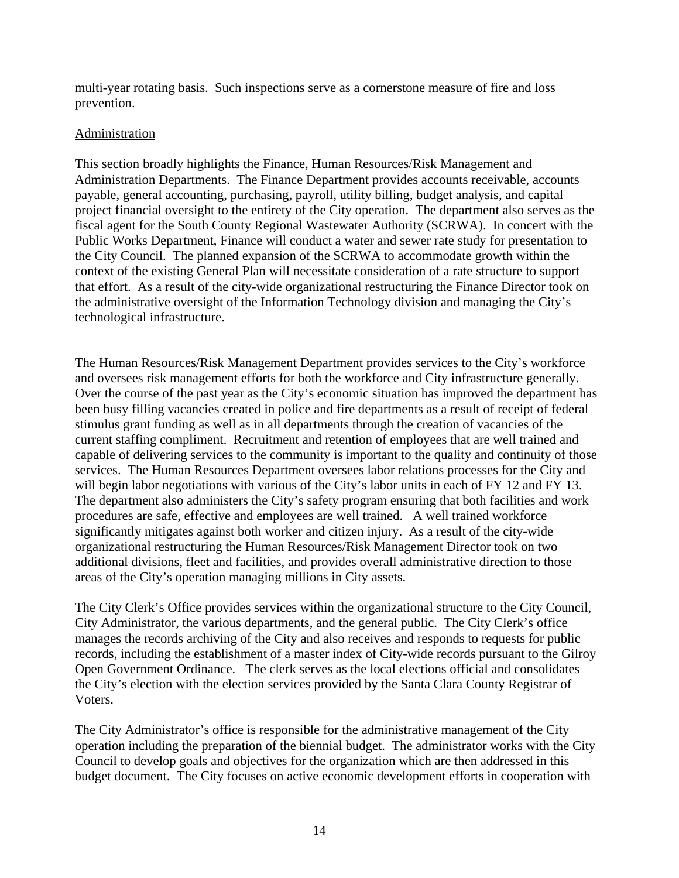multi-year rotating basis. Such inspections serve as a cornerstone measure of fire and loss prevention.

### **Administration**

This section broadly highlights the Finance, Human Resources/Risk Management and Administration Departments. The Finance Department provides accounts receivable, accounts payable, general accounting, purchasing, payroll, utility billing, budget analysis, and capital project financial oversight to the entirety of the City operation. The department also serves as the fiscal agent for the South County Regional Wastewater Authority (SCRWA). In concert with the Public Works Department, Finance will conduct a water and sewer rate study for presentation to the City Council. The planned expansion of the SCRWA to accommodate growth within the context of the existing General Plan will necessitate consideration of a rate structure to support that effort. As a result of the city-wide organizational restructuring the Finance Director took on the administrative oversight of the Information Technology division and managing the City's technological infrastructure.

The Human Resources/Risk Management Department provides services to the City's workforce and oversees risk management efforts for both the workforce and City infrastructure generally. Over the course of the past year as the City's economic situation has improved the department has been busy filling vacancies created in police and fire departments as a result of receipt of federal stimulus grant funding as well as in all departments through the creation of vacancies of the current staffing compliment. Recruitment and retention of employees that are well trained and capable of delivering services to the community is important to the quality and continuity of those services. The Human Resources Department oversees labor relations processes for the City and will begin labor negotiations with various of the City's labor units in each of FY 12 and FY 13. The department also administers the City's safety program ensuring that both facilities and work procedures are safe, effective and employees are well trained. A well trained workforce significantly mitigates against both worker and citizen injury. As a result of the city-wide organizational restructuring the Human Resources/Risk Management Director took on two additional divisions, fleet and facilities, and provides overall administrative direction to those areas of the City's operation managing millions in City assets.

The City Clerk's Office provides services within the organizational structure to the City Council, City Administrator, the various departments, and the general public. The City Clerk's office manages the records archiving of the City and also receives and responds to requests for public records, including the establishment of a master index of City-wide records pursuant to the Gilroy Open Government Ordinance. The clerk serves as the local elections official and consolidates the City's election with the election services provided by the Santa Clara County Registrar of Voters.

The City Administrator's office is responsible for the administrative management of the City operation including the preparation of the biennial budget. The administrator works with the City Council to develop goals and objectives for the organization which are then addressed in this budget document. The City focuses on active economic development efforts in cooperation with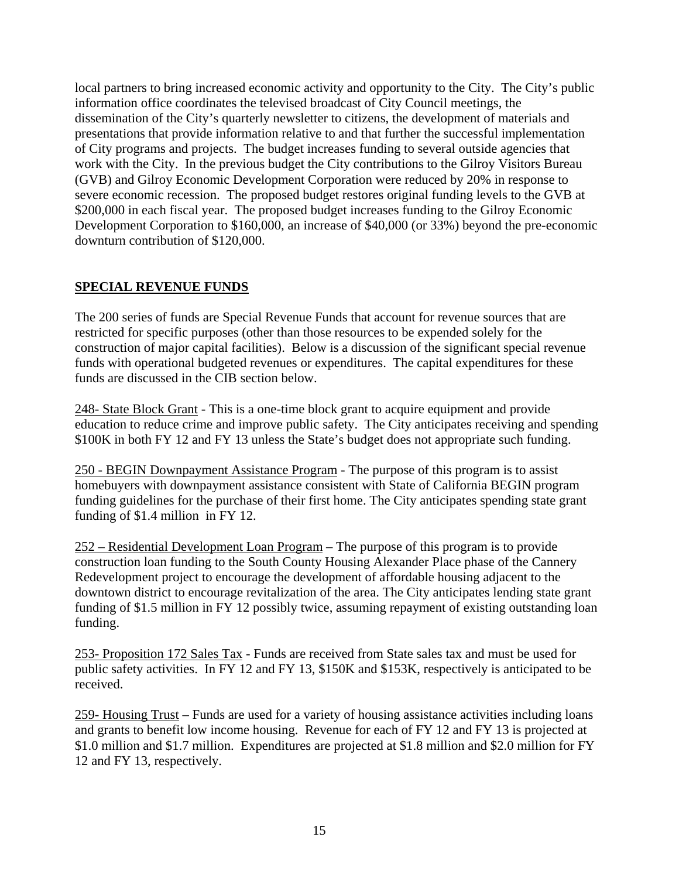local partners to bring increased economic activity and opportunity to the City. The City's public information office coordinates the televised broadcast of City Council meetings, the dissemination of the City's quarterly newsletter to citizens, the development of materials and presentations that provide information relative to and that further the successful implementation of City programs and projects. The budget increases funding to several outside agencies that work with the City. In the previous budget the City contributions to the Gilroy Visitors Bureau (GVB) and Gilroy Economic Development Corporation were reduced by 20% in response to severe economic recession. The proposed budget restores original funding levels to the GVB at \$200,000 in each fiscal year. The proposed budget increases funding to the Gilroy Economic Development Corporation to \$160,000, an increase of \$40,000 (or 33%) beyond the pre-economic downturn contribution of \$120,000.

# **SPECIAL REVENUE FUNDS**

The 200 series of funds are Special Revenue Funds that account for revenue sources that are restricted for specific purposes (other than those resources to be expended solely for the construction of major capital facilities). Below is a discussion of the significant special revenue funds with operational budgeted revenues or expenditures. The capital expenditures for these funds are discussed in the CIB section below.

248- State Block Grant - This is a one-time block grant to acquire equipment and provide education to reduce crime and improve public safety. The City anticipates receiving and spending \$100K in both FY 12 and FY 13 unless the State's budget does not appropriate such funding.

250 - BEGIN Downpayment Assistance Program - The purpose of this program is to assist homebuyers with downpayment assistance consistent with State of California BEGIN program funding guidelines for the purchase of their first home. The City anticipates spending state grant funding of \$1.4 million in FY 12.

252 – Residential Development Loan Program – The purpose of this program is to provide construction loan funding to the South County Housing Alexander Place phase of the Cannery Redevelopment project to encourage the development of affordable housing adjacent to the downtown district to encourage revitalization of the area. The City anticipates lending state grant funding of \$1.5 million in FY 12 possibly twice, assuming repayment of existing outstanding loan funding.

253- Proposition 172 Sales Tax - Funds are received from State sales tax and must be used for public safety activities. In FY 12 and FY 13, \$150K and \$153K, respectively is anticipated to be received.

259- Housing Trust – Funds are used for a variety of housing assistance activities including loans and grants to benefit low income housing. Revenue for each of FY 12 and FY 13 is projected at \$1.0 million and \$1.7 million. Expenditures are projected at \$1.8 million and \$2.0 million for FY 12 and FY 13, respectively.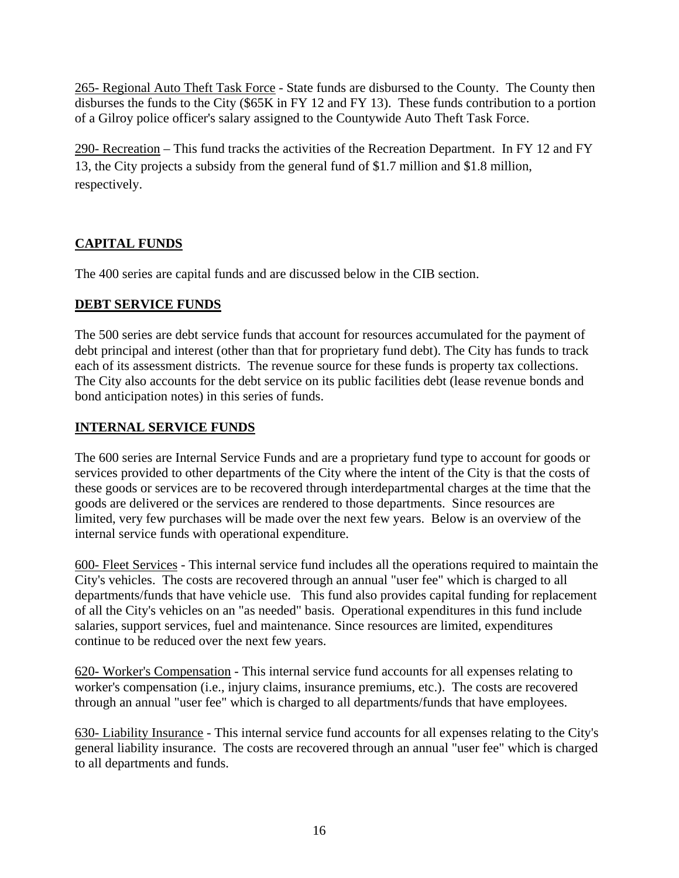265- Regional Auto Theft Task Force - State funds are disbursed to the County. The County then disburses the funds to the City (\$65K in FY 12 and FY 13). These funds contribution to a portion of a Gilroy police officer's salary assigned to the Countywide Auto Theft Task Force.

290- Recreation – This fund tracks the activities of the Recreation Department. In FY 12 and FY 13, the City projects a subsidy from the general fund of \$1.7 million and \$1.8 million, respectively.

# **CAPITAL FUNDS**

The 400 series are capital funds and are discussed below in the CIB section.

# **DEBT SERVICE FUNDS**

The 500 series are debt service funds that account for resources accumulated for the payment of debt principal and interest (other than that for proprietary fund debt). The City has funds to track each of its assessment districts. The revenue source for these funds is property tax collections. The City also accounts for the debt service on its public facilities debt (lease revenue bonds and bond anticipation notes) in this series of funds.

# **INTERNAL SERVICE FUNDS**

The 600 series are Internal Service Funds and are a proprietary fund type to account for goods or services provided to other departments of the City where the intent of the City is that the costs of these goods or services are to be recovered through interdepartmental charges at the time that the goods are delivered or the services are rendered to those departments. Since resources are limited, very few purchases will be made over the next few years. Below is an overview of the internal service funds with operational expenditure.

600- Fleet Services - This internal service fund includes all the operations required to maintain the City's vehicles. The costs are recovered through an annual "user fee" which is charged to all departments/funds that have vehicle use. This fund also provides capital funding for replacement of all the City's vehicles on an "as needed" basis. Operational expenditures in this fund include salaries, support services, fuel and maintenance. Since resources are limited, expenditures continue to be reduced over the next few years.

620- Worker's Compensation - This internal service fund accounts for all expenses relating to worker's compensation (i.e., injury claims, insurance premiums, etc.). The costs are recovered through an annual "user fee" which is charged to all departments/funds that have employees.

630- Liability Insurance - This internal service fund accounts for all expenses relating to the City's general liability insurance. The costs are recovered through an annual "user fee" which is charged to all departments and funds.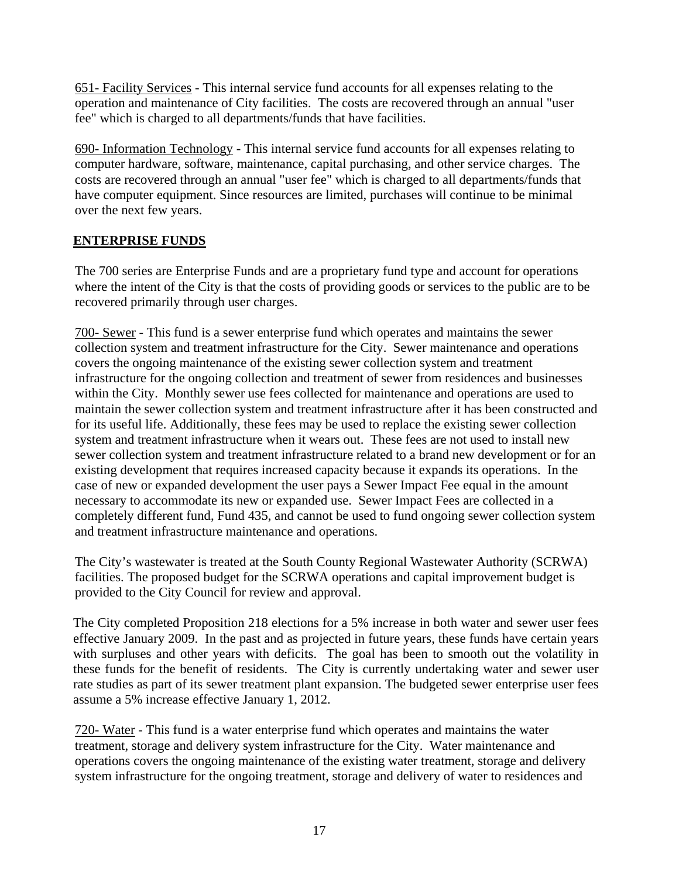651- Facility Services - This internal service fund accounts for all expenses relating to the operation and maintenance of City facilities. The costs are recovered through an annual "user fee" which is charged to all departments/funds that have facilities.

690- Information Technology - This internal service fund accounts for all expenses relating to computer hardware, software, maintenance, capital purchasing, and other service charges. The costs are recovered through an annual "user fee" which is charged to all departments/funds that have computer equipment. Since resources are limited, purchases will continue to be minimal over the next few years.

# **ENTERPRISE FUNDS**

The 700 series are Enterprise Funds and are a proprietary fund type and account for operations where the intent of the City is that the costs of providing goods or services to the public are to be recovered primarily through user charges.

700- Sewer - This fund is a sewer enterprise fund which operates and maintains the sewer collection system and treatment infrastructure for the City. Sewer maintenance and operations covers the ongoing maintenance of the existing sewer collection system and treatment infrastructure for the ongoing collection and treatment of sewer from residences and businesses within the City. Monthly sewer use fees collected for maintenance and operations are used to maintain the sewer collection system and treatment infrastructure after it has been constructed and for its useful life. Additionally, these fees may be used to replace the existing sewer collection system and treatment infrastructure when it wears out. These fees are not used to install new sewer collection system and treatment infrastructure related to a brand new development or for an existing development that requires increased capacity because it expands its operations. In the case of new or expanded development the user pays a Sewer Impact Fee equal in the amount necessary to accommodate its new or expanded use. Sewer Impact Fees are collected in a completely different fund, Fund 435, and cannot be used to fund ongoing sewer collection system and treatment infrastructure maintenance and operations.

The City's wastewater is treated at the South County Regional Wastewater Authority (SCRWA) facilities. The proposed budget for the SCRWA operations and capital improvement budget is provided to the City Council for review and approval.

The City completed Proposition 218 elections for a 5% increase in both water and sewer user fees effective January 2009. In the past and as projected in future years, these funds have certain years with surpluses and other years with deficits. The goal has been to smooth out the volatility in these funds for the benefit of residents. The City is currently undertaking water and sewer user rate studies as part of its sewer treatment plant expansion. The budgeted sewer enterprise user fees assume a 5% increase effective January 1, 2012.

720- Water - This fund is a water enterprise fund which operates and maintains the water treatment, storage and delivery system infrastructure for the City. Water maintenance and operations covers the ongoing maintenance of the existing water treatment, storage and delivery system infrastructure for the ongoing treatment, storage and delivery of water to residences and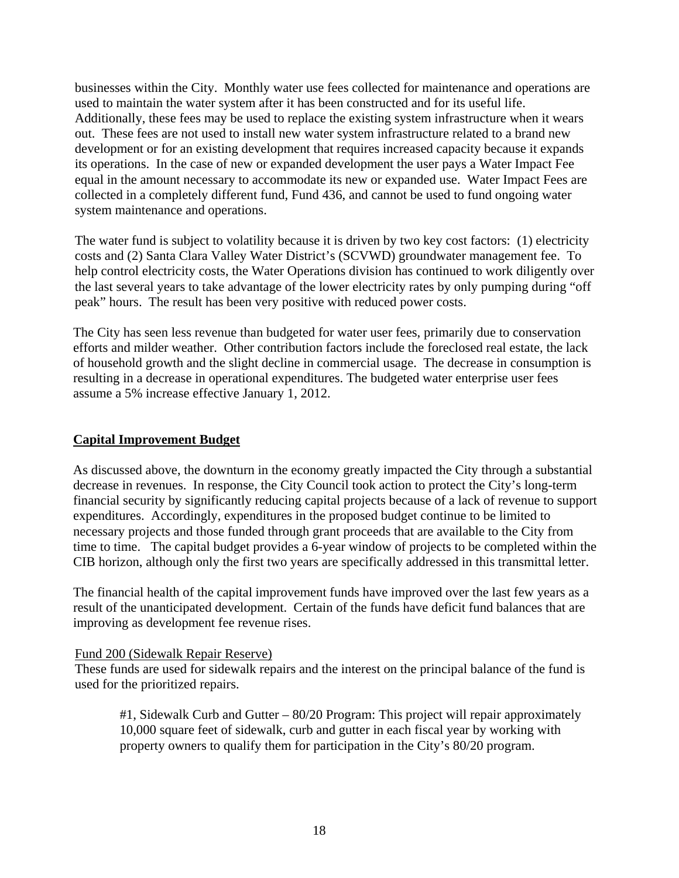businesses within the City. Monthly water use fees collected for maintenance and operations are used to maintain the water system after it has been constructed and for its useful life. Additionally, these fees may be used to replace the existing system infrastructure when it wears out. These fees are not used to install new water system infrastructure related to a brand new development or for an existing development that requires increased capacity because it expands its operations. In the case of new or expanded development the user pays a Water Impact Fee equal in the amount necessary to accommodate its new or expanded use. Water Impact Fees are collected in a completely different fund, Fund 436, and cannot be used to fund ongoing water system maintenance and operations.

The water fund is subject to volatility because it is driven by two key cost factors: (1) electricity costs and (2) Santa Clara Valley Water District's (SCVWD) groundwater management fee. To help control electricity costs, the Water Operations division has continued to work diligently over the last several years to take advantage of the lower electricity rates by only pumping during "off peak" hours. The result has been very positive with reduced power costs.

The City has seen less revenue than budgeted for water user fees, primarily due to conservation efforts and milder weather. Other contribution factors include the foreclosed real estate, the lack of household growth and the slight decline in commercial usage. The decrease in consumption is resulting in a decrease in operational expenditures. The budgeted water enterprise user fees assume a 5% increase effective January 1, 2012.

### **Capital Improvement Budget**

As discussed above, the downturn in the economy greatly impacted the City through a substantial decrease in revenues. In response, the City Council took action to protect the City's long-term financial security by significantly reducing capital projects because of a lack of revenue to support expenditures. Accordingly, expenditures in the proposed budget continue to be limited to necessary projects and those funded through grant proceeds that are available to the City from time to time. The capital budget provides a 6-year window of projects to be completed within the CIB horizon, although only the first two years are specifically addressed in this transmittal letter.

The financial health of the capital improvement funds have improved over the last few years as a result of the unanticipated development. Certain of the funds have deficit fund balances that are improving as development fee revenue rises.

### Fund 200 (Sidewalk Repair Reserve)

These funds are used for sidewalk repairs and the interest on the principal balance of the fund is used for the prioritized repairs.

#1, Sidewalk Curb and Gutter – 80/20 Program: This project will repair approximately 10,000 square feet of sidewalk, curb and gutter in each fiscal year by working with property owners to qualify them for participation in the City's 80/20 program.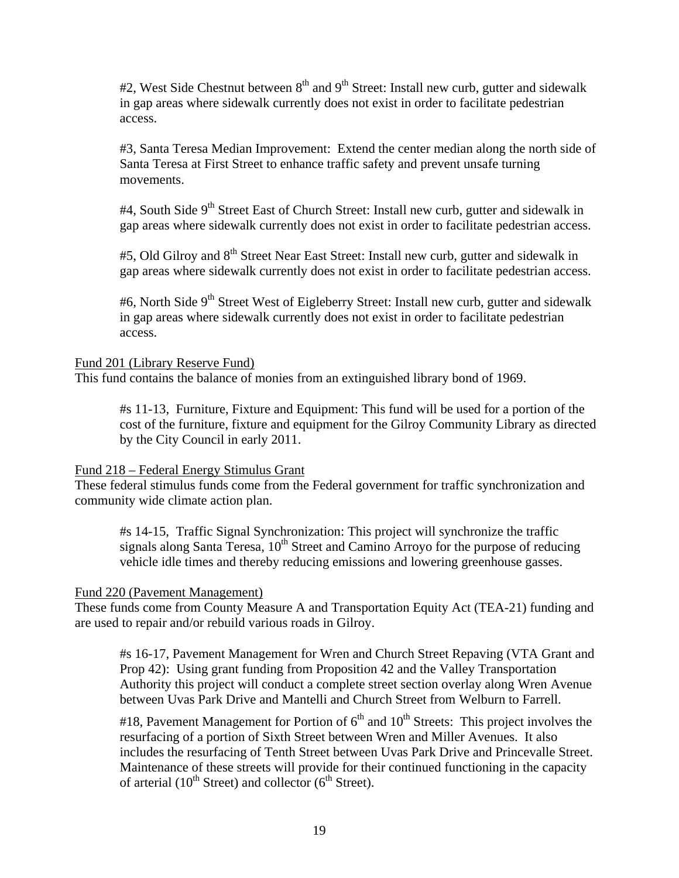$#2$ , West Side Chestnut between  $8<sup>th</sup>$  and  $9<sup>th</sup>$  Street: Install new curb, gutter and sidewalk in gap areas where sidewalk currently does not exist in order to facilitate pedestrian access.

#3, Santa Teresa Median Improvement: Extend the center median along the north side of Santa Teresa at First Street to enhance traffic safety and prevent unsafe turning movements.

#4, South Side  $9<sup>th</sup>$  Street East of Church Street: Install new curb, gutter and sidewalk in gap areas where sidewalk currently does not exist in order to facilitate pedestrian access.

#5, Old Gilroy and 8<sup>th</sup> Street Near East Street: Install new curb, gutter and sidewalk in gap areas where sidewalk currently does not exist in order to facilitate pedestrian access.

#6, North Side 9<sup>th</sup> Street West of Eigleberry Street: Install new curb, gutter and sidewalk in gap areas where sidewalk currently does not exist in order to facilitate pedestrian access.

### Fund 201 (Library Reserve Fund)

This fund contains the balance of monies from an extinguished library bond of 1969.

#s 11-13, Furniture, Fixture and Equipment: This fund will be used for a portion of the cost of the furniture, fixture and equipment for the Gilroy Community Library as directed by the City Council in early 2011.

### Fund 218 – Federal Energy Stimulus Grant

These federal stimulus funds come from the Federal government for traffic synchronization and community wide climate action plan.

#s 14-15, Traffic Signal Synchronization: This project will synchronize the traffic signals along Santa Teresa,  $10<sup>th</sup>$  Street and Camino Arroyo for the purpose of reducing vehicle idle times and thereby reducing emissions and lowering greenhouse gasses.

### Fund 220 (Pavement Management)

These funds come from County Measure A and Transportation Equity Act (TEA-21) funding and are used to repair and/or rebuild various roads in Gilroy.

#s 16-17, Pavement Management for Wren and Church Street Repaving (VTA Grant and Prop 42): Using grant funding from Proposition 42 and the Valley Transportation Authority this project will conduct a complete street section overlay along Wren Avenue between Uvas Park Drive and Mantelli and Church Street from Welburn to Farrell.

#18, Pavement Management for Portion of  $6<sup>th</sup>$  and  $10<sup>th</sup>$  Streets: This project involves the resurfacing of a portion of Sixth Street between Wren and Miller Avenues. It also includes the resurfacing of Tenth Street between Uvas Park Drive and Princevalle Street. Maintenance of these streets will provide for their continued functioning in the capacity of arterial ( $10^{th}$  Street) and collector ( $6^{th}$  Street).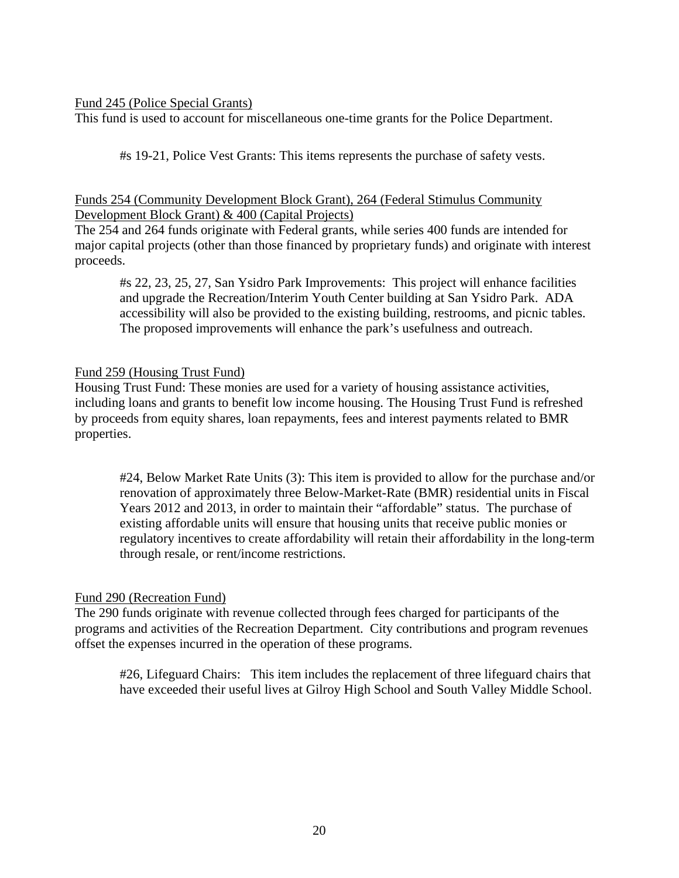### Fund 245 (Police Special Grants)

This fund is used to account for miscellaneous one-time grants for the Police Department.

#s 19-21, Police Vest Grants: This items represents the purchase of safety vests.

### Funds 254 (Community Development Block Grant), 264 (Federal Stimulus Community Development Block Grant) & 400 (Capital Projects)

The 254 and 264 funds originate with Federal grants, while series 400 funds are intended for major capital projects (other than those financed by proprietary funds) and originate with interest proceeds.

#s 22, 23, 25, 27, San Ysidro Park Improvements: This project will enhance facilities and upgrade the Recreation/Interim Youth Center building at San Ysidro Park. ADA accessibility will also be provided to the existing building, restrooms, and picnic tables. The proposed improvements will enhance the park's usefulness and outreach.

### Fund 259 (Housing Trust Fund)

Housing Trust Fund: These monies are used for a variety of housing assistance activities, including loans and grants to benefit low income housing. The Housing Trust Fund is refreshed by proceeds from equity shares, loan repayments, fees and interest payments related to BMR properties.

#24, Below Market Rate Units (3): This item is provided to allow for the purchase and/or renovation of approximately three Below-Market-Rate (BMR) residential units in Fiscal Years 2012 and 2013, in order to maintain their "affordable" status. The purchase of existing affordable units will ensure that housing units that receive public monies or regulatory incentives to create affordability will retain their affordability in the long-term through resale, or rent/income restrictions.

### Fund 290 (Recreation Fund)

The 290 funds originate with revenue collected through fees charged for participants of the programs and activities of the Recreation Department. City contributions and program revenues offset the expenses incurred in the operation of these programs.

#26, Lifeguard Chairs: This item includes the replacement of three lifeguard chairs that have exceeded their useful lives at Gilroy High School and South Valley Middle School.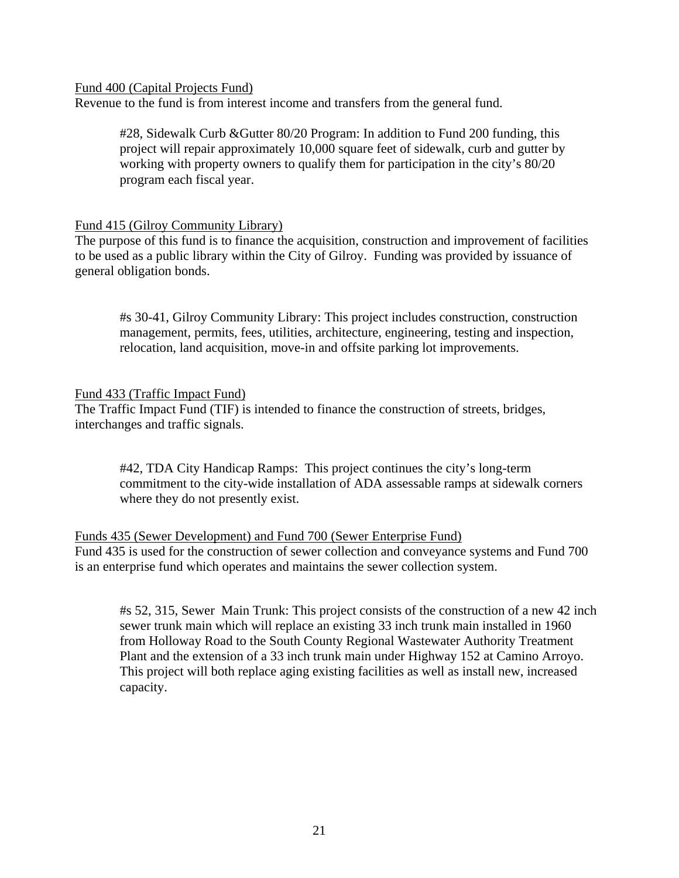Fund 400 (Capital Projects Fund)

Revenue to the fund is from interest income and transfers from the general fund.

#28, Sidewalk Curb &Gutter 80/20 Program: In addition to Fund 200 funding, this project will repair approximately 10,000 square feet of sidewalk, curb and gutter by working with property owners to qualify them for participation in the city's 80/20 program each fiscal year.

### Fund 415 (Gilroy Community Library)

The purpose of this fund is to finance the acquisition, construction and improvement of facilities to be used as a public library within the City of Gilroy. Funding was provided by issuance of general obligation bonds.

#s 30-41, Gilroy Community Library: This project includes construction, construction management, permits, fees, utilities, architecture, engineering, testing and inspection, relocation, land acquisition, move-in and offsite parking lot improvements.

#### Fund 433 (Traffic Impact Fund)

The Traffic Impact Fund (TIF) is intended to finance the construction of streets, bridges, interchanges and traffic signals.

#42, TDA City Handicap Ramps: This project continues the city's long-term commitment to the city-wide installation of ADA assessable ramps at sidewalk corners where they do not presently exist.

### Funds 435 (Sewer Development) and Fund 700 (Sewer Enterprise Fund) Fund 435 is used for the construction of sewer collection and conveyance systems and Fund 700 is an enterprise fund which operates and maintains the sewer collection system.

#s 52, 315, Sewer Main Trunk: This project consists of the construction of a new 42 inch sewer trunk main which will replace an existing 33 inch trunk main installed in 1960 from Holloway Road to the South County Regional Wastewater Authority Treatment Plant and the extension of a 33 inch trunk main under Highway 152 at Camino Arroyo. This project will both replace aging existing facilities as well as install new, increased capacity.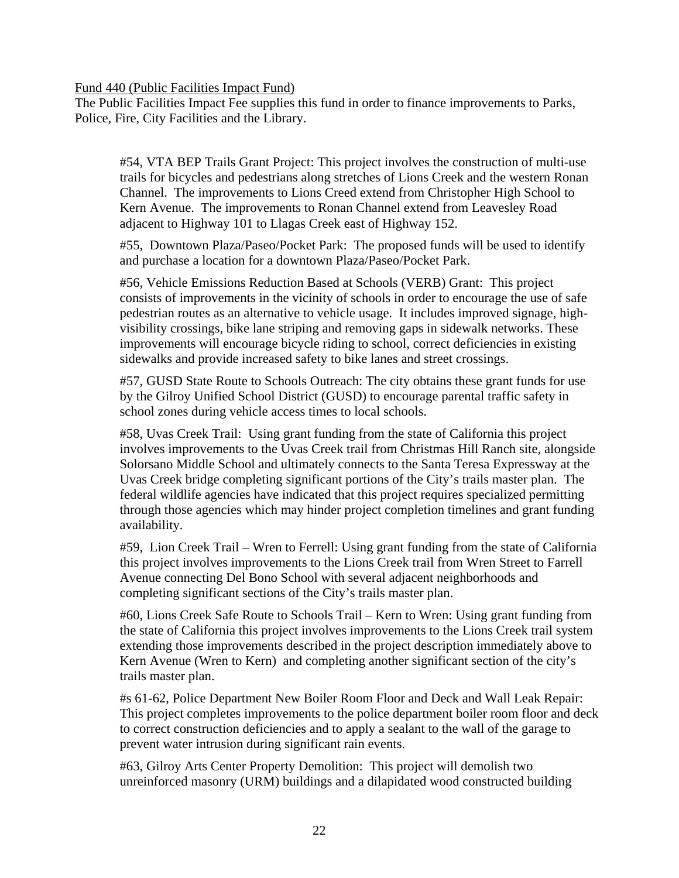Fund 440 (Public Facilities Impact Fund)

The Public Facilities Impact Fee supplies this fund in order to finance improvements to Parks, Police, Fire, City Facilities and the Library.

#54, VTA BEP Trails Grant Project: This project involves the construction of multi-use trails for bicycles and pedestrians along stretches of Lions Creek and the western Ronan Channel. The improvements to Lions Creed extend from Christopher High School to Kern Avenue. The improvements to Ronan Channel extend from Leavesley Road adjacent to Highway 101 to Llagas Creek east of Highway 152.

#55, Downtown Plaza/Paseo/Pocket Park: The proposed funds will be used to identify and purchase a location for a downtown Plaza/Paseo/Pocket Park.

#56, Vehicle Emissions Reduction Based at Schools (VERB) Grant: This project consists of improvements in the vicinity of schools in order to encourage the use of safe pedestrian routes as an alternative to vehicle usage. It includes improved signage, highvisibility crossings, bike lane striping and removing gaps in sidewalk networks. These improvements will encourage bicycle riding to school, correct deficiencies in existing sidewalks and provide increased safety to bike lanes and street crossings.

#57, GUSD State Route to Schools Outreach: The city obtains these grant funds for use by the Gilroy Unified School District (GUSD) to encourage parental traffic safety in school zones during vehicle access times to local schools.

#58, Uvas Creek Trail: Using grant funding from the state of California this project involves improvements to the Uvas Creek trail from Christmas Hill Ranch site, alongside Solorsano Middle School and ultimately connects to the Santa Teresa Expressway at the Uvas Creek bridge completing significant portions of the City's trails master plan. The federal wildlife agencies have indicated that this project requires specialized permitting through those agencies which may hinder project completion timelines and grant funding availability.

#59, Lion Creek Trail – Wren to Ferrell: Using grant funding from the state of California this project involves improvements to the Lions Creek trail from Wren Street to Farrell Avenue connecting Del Bono School with several adjacent neighborhoods and completing significant sections of the City's trails master plan.

#60, Lions Creek Safe Route to Schools Trail – Kern to Wren: Using grant funding from the state of California this project involves improvements to the Lions Creek trail system extending those improvements described in the project description immediately above to Kern Avenue (Wren to Kern) and completing another significant section of the city's trails master plan.

#s 61-62, Police Department New Boiler Room Floor and Deck and Wall Leak Repair: This project completes improvements to the police department boiler room floor and deck to correct construction deficiencies and to apply a sealant to the wall of the garage to prevent water intrusion during significant rain events.

#63, Gilroy Arts Center Property Demolition: This project will demolish two unreinforced masonry (URM) buildings and a dilapidated wood constructed building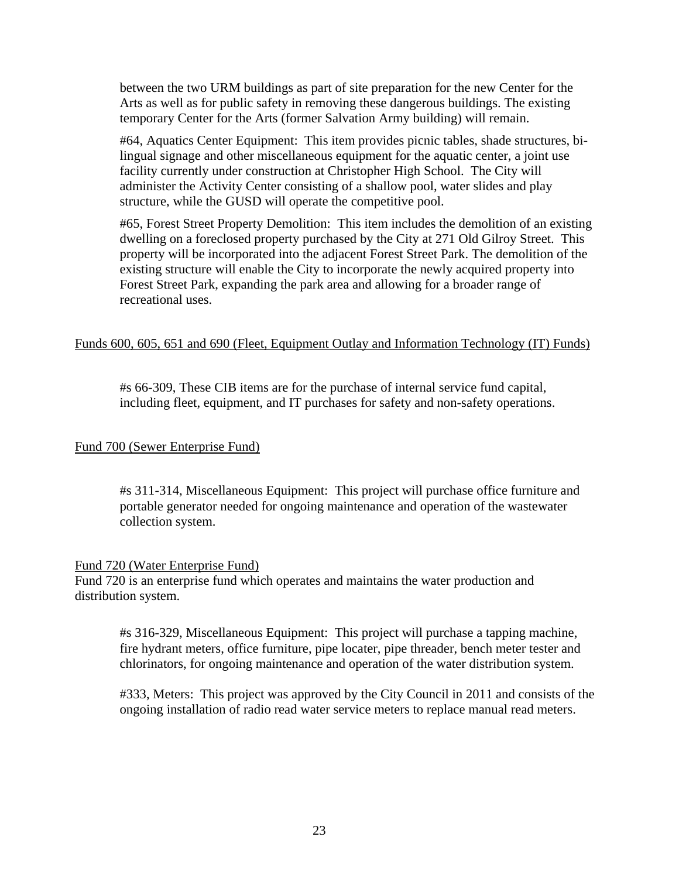between the two URM buildings as part of site preparation for the new Center for the Arts as well as for public safety in removing these dangerous buildings. The existing temporary Center for the Arts (former Salvation Army building) will remain.

#64, Aquatics Center Equipment: This item provides picnic tables, shade structures, bilingual signage and other miscellaneous equipment for the aquatic center, a joint use facility currently under construction at Christopher High School. The City will administer the Activity Center consisting of a shallow pool, water slides and play structure, while the GUSD will operate the competitive pool.

#65, Forest Street Property Demolition: This item includes the demolition of an existing dwelling on a foreclosed property purchased by the City at 271 Old Gilroy Street. This property will be incorporated into the adjacent Forest Street Park. The demolition of the existing structure will enable the City to incorporate the newly acquired property into Forest Street Park, expanding the park area and allowing for a broader range of recreational uses.

### Funds 600, 605, 651 and 690 (Fleet, Equipment Outlay and Information Technology (IT) Funds)

#s 66-309, These CIB items are for the purchase of internal service fund capital, including fleet, equipment, and IT purchases for safety and non-safety operations.

### Fund 700 (Sewer Enterprise Fund)

#s 311-314, Miscellaneous Equipment: This project will purchase office furniture and portable generator needed for ongoing maintenance and operation of the wastewater collection system.

#### Fund 720 (Water Enterprise Fund)

Fund 720 is an enterprise fund which operates and maintains the water production and distribution system.

#s 316-329, Miscellaneous Equipment: This project will purchase a tapping machine, fire hydrant meters, office furniture, pipe locater, pipe threader, bench meter tester and chlorinators, for ongoing maintenance and operation of the water distribution system.

#333, Meters: This project was approved by the City Council in 2011 and consists of the ongoing installation of radio read water service meters to replace manual read meters.